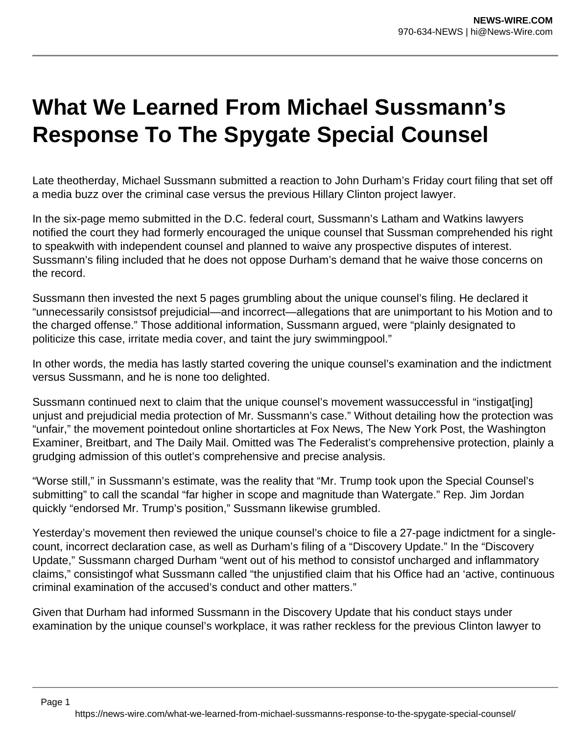## **What We Learned From Michael Sussmann's Response To The Spygate Special Counsel**

Late theotherday, Michael Sussmann submitted a reaction to John Durham's Friday court filing that set off a media buzz over the criminal case versus the previous Hillary Clinton project lawyer.

In the six-page memo submitted in the D.C. federal court, Sussmann's Latham and Watkins lawyers notified the court they had formerly encouraged the unique counsel that Sussman comprehended his right to speakwith with independent counsel and planned to waive any prospective disputes of interest. Sussmann's filing included that he does not oppose Durham's demand that he waive those concerns on the record.

Sussmann then invested the next 5 pages grumbling about the unique counsel's filing. He declared it "unnecessarily consistsof prejudicial—and incorrect—allegations that are unimportant to his Motion and to the charged offense." Those additional information, Sussmann argued, were "plainly designated to politicize this case, irritate media cover, and taint the jury swimmingpool."

In other words, the media has lastly started covering the unique counsel's examination and the indictment versus Sussmann, and he is none too delighted.

Sussmann continued next to claim that the unique counsel's movement wassuccessful in "instigat[ing] unjust and prejudicial media protection of Mr. Sussmann's case." Without detailing how the protection was "unfair," the movement pointedout online shortarticles at Fox News, The New York Post, the Washington Examiner, Breitbart, and The Daily Mail. Omitted was The Federalist's comprehensive protection, plainly a grudging admission of this outlet's comprehensive and precise analysis.

"Worse still," in Sussmann's estimate, was the reality that "Mr. Trump took upon the Special Counsel's submitting" to call the scandal "far higher in scope and magnitude than Watergate." Rep. Jim Jordan quickly "endorsed Mr. Trump's position," Sussmann likewise grumbled.

Yesterday's movement then reviewed the unique counsel's choice to file a 27-page indictment for a singlecount, incorrect declaration case, as well as Durham's filing of a "Discovery Update." In the "Discovery Update," Sussmann charged Durham "went out of his method to consistof uncharged and inflammatory claims," consistingof what Sussmann called "the unjustified claim that his Office had an 'active, continuous criminal examination of the accused's conduct and other matters."

Given that Durham had informed Sussmann in the Discovery Update that his conduct stays under examination by the unique counsel's workplace, it was rather reckless for the previous Clinton lawyer to

Page 1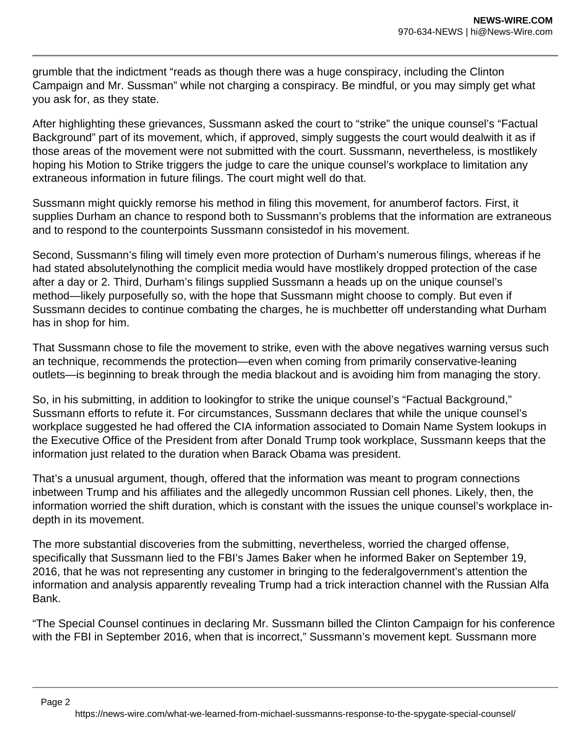grumble that the indictment "reads as though there was a huge conspiracy, including the Clinton Campaign and Mr. Sussman" while not charging a conspiracy. Be mindful, or you may simply get what you ask for, as they state.

After highlighting these grievances, Sussmann asked the court to "strike" the unique counsel's "Factual Background" part of its movement, which, if approved, simply suggests the court would dealwith it as if those areas of the movement were not submitted with the court. Sussmann, nevertheless, is mostlikely hoping his Motion to Strike triggers the judge to care the unique counsel's workplace to limitation any extraneous information in future filings. The court might well do that.

Sussmann might quickly remorse his method in filing this movement, for anumberof factors. First, it supplies Durham an chance to respond both to Sussmann's problems that the information are extraneous and to respond to the counterpoints Sussmann consistedof in his movement.

Second, Sussmann's filing will timely even more protection of Durham's numerous filings, whereas if he had stated absolutelynothing the complicit media would have mostlikely dropped protection of the case after a day or 2. Third, Durham's filings supplied Sussmann a heads up on the unique counsel's method—likely purposefully so, with the hope that Sussmann might choose to comply. But even if Sussmann decides to continue combating the charges, he is muchbetter off understanding what Durham has in shop for him.

That Sussmann chose to file the movement to strike, even with the above negatives warning versus such an technique, recommends the protection—even when coming from primarily conservative-leaning outlets—is beginning to break through the media blackout and is avoiding him from managing the story.

So, in his submitting, in addition to lookingfor to strike the unique counsel's "Factual Background," Sussmann efforts to refute it. For circumstances, Sussmann declares that while the unique counsel's workplace suggested he had offered the CIA information associated to Domain Name System lookups in the Executive Office of the President from after Donald Trump took workplace, Sussmann keeps that the information just related to the duration when Barack Obama was president.

That's a unusual argument, though, offered that the information was meant to program connections inbetween Trump and his affiliates and the allegedly uncommon Russian cell phones. Likely, then, the information worried the shift duration, which is constant with the issues the unique counsel's workplace indepth in its movement.

The more substantial discoveries from the submitting, nevertheless, worried the charged offense, specifically that Sussmann lied to the FBI's James Baker when he informed Baker on September 19, 2016, that he was not representing any customer in bringing to the federalgovernment's attention the information and analysis apparently revealing Trump had a trick interaction channel with the Russian Alfa Bank.

"The Special Counsel continues in declaring Mr. Sussmann billed the Clinton Campaign for his conference with the FBI in September 2016, when that is incorrect," Sussmann's movement kept. Sussmann more

https://news-wire.com/what-we-learned-from-michael-sussmanns-response-to-the-spygate-special-counsel/

Page 2